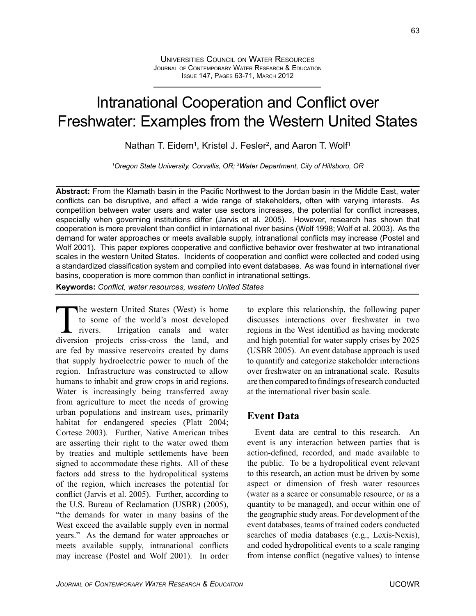# Intranational Cooperation and Conflict over Freshwater: Examples from the Western United States

Nathan T. Eidem<sup>1</sup>, Kristel J. Fesler<sup>2</sup>, and Aaron T. Wolf<sup>1</sup>

*1 Oregon State University, Corvallis, OR; 2 Water Department, City of Hillsboro, OR*

**Abstract:** From the Klamath basin in the Pacific Northwest to the Jordan basin in the Middle East, water conflicts can be disruptive, and affect a wide range of stakeholders, often with varying interests. As competition between water users and water use sectors increases, the potential for conflict increases, especially when governing institutions differ (Jarvis et al. 2005). However, research has shown that cooperation is more prevalent than conflict in international river basins (Wolf 1998; Wolf et al. 2003). As the demand for water approaches or meets available supply, intranational conflicts may increase (Postel and Wolf 2001). This paper explores cooperative and conflictive behavior over freshwater at two intranational scales in the western United States. Incidents of cooperation and conflict were collected and coded using a standardized classification system and compiled into event databases. As was found in international river basins, cooperation is more common than conflict in intranational settings.

**Keywords:** *Conflict, water resources, western United States*

The western United States (West) is home<br>to some of the world's most developed<br>rivers. Irrigation canals and water<br>diversion projects criss-cross the land and to some of the world's most developed rivers. Irrigation canals and water diversion projects criss-cross the land, and are fed by massive reservoirs created by dams that supply hydroelectric power to much of the region. Infrastructure was constructed to allow humans to inhabit and grow crops in arid regions. Water is increasingly being transferred away from agriculture to meet the needs of growing urban populations and instream uses, primarily habitat for endangered species (Platt 2004; Cortese 2003). Further, Native American tribes are asserting their right to the water owed them by treaties and multiple settlements have been signed to accommodate these rights. All of these factors add stress to the hydropolitical systems of the region, which increases the potential for conflict (Jarvis et al. 2005). Further, according to the U.S. Bureau of Reclamation (USBR) (2005), "the demands for water in many basins of the West exceed the available supply even in normal years." As the demand for water approaches or meets available supply, intranational conflicts may increase (Postel and Wolf 2001). In order

to explore this relationship, the following paper discusses interactions over freshwater in two regions in the West identified as having moderate and high potential for water supply crises by 2025 (USBR 2005). An event database approach is used to quantify and categorize stakeholder interactions over freshwater on an intranational scale. Results are then compared to findings of research conducted at the international river basin scale.

# **Event Data**

Event data are central to this research. An event is any interaction between parties that is action-defined, recorded, and made available to the public. To be a hydropolitical event relevant to this research, an action must be driven by some aspect or dimension of fresh water resources (water as a scarce or consumable resource, or as a quantity to be managed), and occur within one of the geographic study areas. For development of the event databases, teams of trained coders conducted searches of media databases (e.g., Lexis-Nexis), and coded hydropolitical events to a scale ranging from intense conflict (negative values) to intense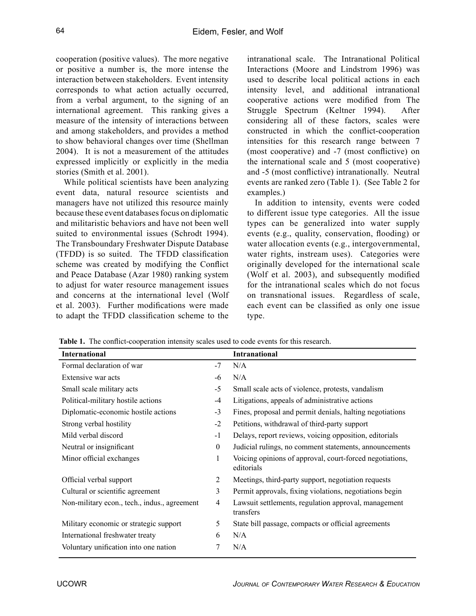cooperation (positive values). The more negative or positive a number is, the more intense the interaction between stakeholders. Event intensity corresponds to what action actually occurred, from a verbal argument, to the signing of an international agreement. This ranking gives a measure of the intensity of interactions between and among stakeholders, and provides a method to show behavioral changes over time (Shellman 2004). It is not a measurement of the attitudes expressed implicitly or explicitly in the media stories (Smith et al. 2001).

While political scientists have been analyzing event data, natural resource scientists and managers have not utilized this resource mainly because these event databases focus on diplomatic and militaristic behaviors and have not been well suited to environmental issues (Schrodt 1994). The Transboundary Freshwater Dispute Database (TFDD) is so suited. The TFDD classification scheme was created by modifying the Conflict and Peace Database (Azar 1980) ranking system to adjust for water resource management issues and concerns at the international level (Wolf et al. 2003). Further modifications were made to adapt the TFDD classification scheme to the

intranational scale. The Intranational Political Interactions (Moore and Lindstrom 1996) was used to describe local political actions in each intensity level, and additional intranational cooperative actions were modified from The Struggle Spectrum (Keltner 1994). After considering all of these factors, scales were constructed in which the conflict-cooperation intensities for this research range between 7 (most cooperative) and -7 (most conflictive) on the international scale and 5 (most cooperative) and -5 (most conflictive) intranationally. Neutral events are ranked zero (Table 1). (See Table 2 for examples.)

In addition to intensity, events were coded to different issue type categories. All the issue types can be generalized into water supply events (e.g., quality, conservation, flooding) or water allocation events (e.g., intergovernmental, water rights, instream uses). Categories were originally developed for the international scale (Wolf et al. 2003), and subsequently modified for the intranational scales which do not focus on transnational issues. Regardless of scale, each event can be classified as only one issue type.

| <b>International</b>                         |                | <b>Intranational</b>                                                   |
|----------------------------------------------|----------------|------------------------------------------------------------------------|
| Formal declaration of war                    | $-7$           | N/A                                                                    |
| Extensive war acts                           | -6             | N/A                                                                    |
| Small scale military acts                    | $-5$           | Small scale acts of violence, protests, vandalism                      |
| Political-military hostile actions           | $-4$           | Litigations, appeals of administrative actions                         |
| Diplomatic-economic hostile actions          | $-3$           | Fines, proposal and permit denials, halting negotiations               |
| Strong verbal hostility                      | $-2$           | Petitions, withdrawal of third-party support                           |
| Mild verbal discord                          | $-1$           | Delays, report reviews, voicing opposition, editorials                 |
| Neutral or insignificant                     | $\overline{0}$ | Judicial rulings, no comment statements, announcements                 |
| Minor official exchanges                     | 1              | Voicing opinions of approval, court-forced negotiations,<br>editorials |
| Official verbal support                      | 2              | Meetings, third-party support, negotiation requests                    |
| Cultural or scientific agreement             | 3              | Permit approvals, fixing violations, negotiations begin                |
| Non-military econ., tech., indus., agreement | 4              | Lawsuit settlements, regulation approval, management<br>transfers      |
| Military economic or strategic support       | 5              | State bill passage, compacts or official agreements                    |
| International freshwater treaty              | 6              | N/A                                                                    |
| Voluntary unification into one nation        |                | N/A                                                                    |

**Table 1.** The conflict-cooperation intensity scales used to code events for this research.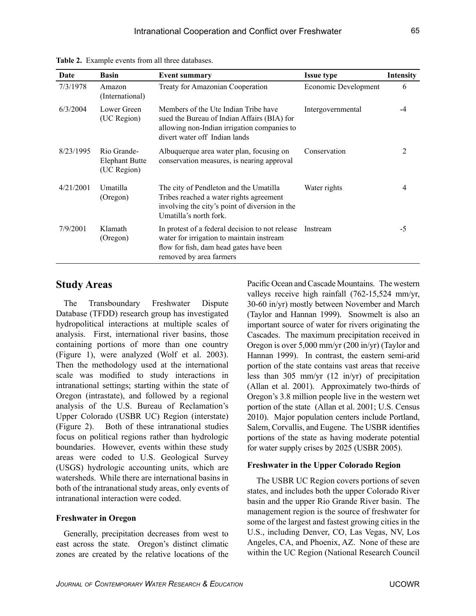| Date      | Basin                                               | <b>Event summary</b>                                                                                                                                                | <b>Issue type</b>    | <b>Intensity</b> |
|-----------|-----------------------------------------------------|---------------------------------------------------------------------------------------------------------------------------------------------------------------------|----------------------|------------------|
| 7/3/1978  | Amazon<br>(International)                           | Treaty for Amazonian Cooperation                                                                                                                                    | Economic Development | 6                |
| 6/3/2004  | Lower Green<br>(UC Region)                          | Members of the Ute Indian Tribe have<br>sued the Bureau of Indian Affairs (BIA) for<br>allowing non-Indian irrigation companies to<br>divert water off Indian lands | Intergovernmental    | -4               |
| 8/23/1995 | Rio Grande-<br><b>Elephant Butte</b><br>(UC Region) | Albuquerque area water plan, focusing on<br>conservation measures, is nearing approval                                                                              | Conservation         | 2                |
| 4/21/2001 | Umatilla<br>(Oregon)                                | The city of Pendleton and the Umatilla<br>Tribes reached a water rights agreement<br>involving the city's point of diversion in the<br>Umatilla's north fork.       | Water rights         | 4                |
| 7/9/2001  | Klamath<br>(Oregon)                                 | In protest of a federal decision to not release<br>water for irrigation to maintain instream<br>flow for fish, dam head gates have been<br>removed by area farmers  | Instream             | -5               |

**Table 2.** Example events from all three databases.

## **Study Areas**

The Transboundary Freshwater Dispute Database (TFDD) research group has investigated hydropolitical interactions at multiple scales of analysis. First, international river basins, those containing portions of more than one country (Figure 1), were analyzed (Wolf et al. 2003). Then the methodology used at the international scale was modified to study interactions in intranational settings; starting within the state of Oregon (intrastate), and followed by a regional analysis of the U.S. Bureau of Reclamation's Upper Colorado (USBR UC) Region (interstate) (Figure 2). Both of these intranational studies focus on political regions rather than hydrologic boundaries. However, events within these study areas were coded to U.S. Geological Survey (USGS) hydrologic accounting units, which are watersheds. While there are international basins in both of the intranational study areas, only events of intranational interaction were coded.

#### **Freshwater in Oregon**

Generally, precipitation decreases from west to east across the state. Oregon's distinct climatic zones are created by the relative locations of the Pacific Ocean and Cascade Mountains. The western valleys receive high rainfall (762-15,524 mm/yr, 30-60 in/yr) mostly between November and March (Taylor and Hannan 1999). Snowmelt is also an important source of water for rivers originating the Cascades. The maximum precipitation received in Oregon is over 5,000 mm/yr (200 in/yr) (Taylor and Hannan 1999). In contrast, the eastern semi-arid portion of the state contains vast areas that receive less than 305 mm/yr (12 in/yr) of precipitation (Allan et al. 2001). Approximately two-thirds of Oregon's 3.8 million people live in the western wet portion of the state (Allan et al. 2001; U.S. Census 2010). Major population centers include Portland, Salem, Corvallis, and Eugene. The USBR identifies portions of the state as having moderate potential for water supply crises by 2025 (USBR 2005).

#### **Freshwater in the Upper Colorado Region**

The USBR UC Region covers portions of seven states, and includes both the upper Colorado River basin and the upper Rio Grande River basin. The management region is the source of freshwater for some of the largest and fastest growing cities in the U.S., including Denver, CO, Las Vegas, NV, Los Angeles, CA, and Phoenix, AZ. None of these are within the UC Region (National Research Council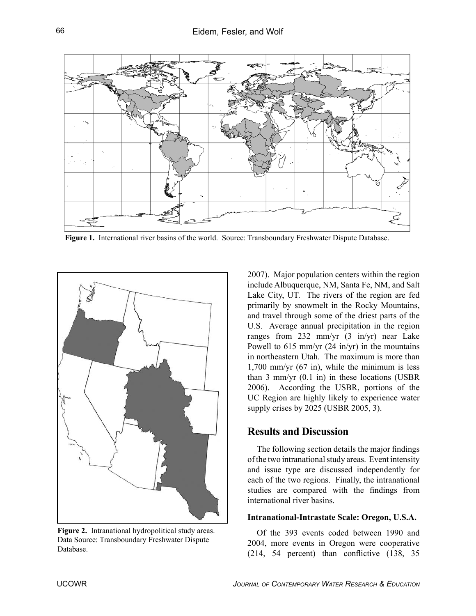

**Figure 1.** International river basins of the world. Source: Transboundary Freshwater Dispute Database.



**Figure 2.** Intranational hydropolitical study areas. Data Source: Transboundary Freshwater Dispute Database.

2007). Major population centers within the region include Albuquerque, NM, Santa Fe, NM, and Salt Lake City, UT. The rivers of the region are fed primarily by snowmelt in the Rocky Mountains, and travel through some of the driest parts of the U.S. Average annual precipitation in the region ranges from 232 mm/yr (3 in/yr) near Lake Powell to 615 mm/yr (24 in/yr) in the mountains in northeastern Utah. The maximum is more than 1,700 mm/yr (67 in), while the minimum is less than 3 mm/yr  $(0.1 \text{ in})$  in these locations (USBR) 2006). According the USBR, portions of the UC Region are highly likely to experience water supply crises by 2025 (USBR 2005, 3).

## **Results and Discussion**

The following section details the major findings of the two intranational study areas. Event intensity and issue type are discussed independently for each of the two regions. Finally, the intranational studies are compared with the findings from international river basins.

### **Intranational-Intrastate Scale: Oregon, U.S.A.**

Of the 393 events coded between 1990 and 2004, more events in Oregon were cooperative (214, 54 percent) than conflictive (138, 35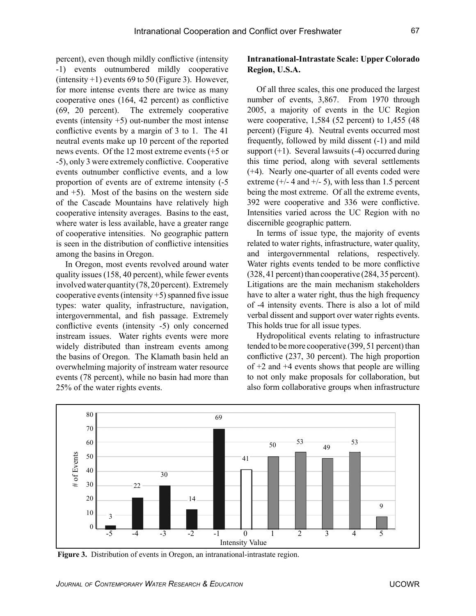percent), even though mildly conflictive (intensity -1) events outnumbered mildly cooperative  $(intensity +1)$  events 69 to 50 (Figure 3). However, for more intense events there are twice as many cooperative ones (164, 42 percent) as conflictive (69, 20 percent). The extremely cooperative events (intensity +5) out-number the most intense conflictive events by a margin of 3 to 1. The 41 neutral events make up 10 percent of the reported news events. Of the 12 most extreme events (+5 or -5), only 3 were extremely conflictive. Cooperative events outnumber conflictive events, and a low proportion of events are of extreme intensity (-5 and +5). Most of the basins on the western side of the Cascade Mountains have relatively high cooperative intensity averages. Basins to the east, where water is less available, have a greater range of cooperative intensities. No geographic pattern is seen in the distribution of conflictive intensities among the basins in Oregon.

In Oregon, most events revolved around water quality issues (158, 40 percent), while fewer events involved water quantity (78, 20 percent). Extremely cooperative events (intensity +5) spanned five issue types: water quality, infrastructure, navigation, intergovernmental, and fish passage. Extremely conflictive events (intensity -5) only concerned instream issues. Water rights events were more widely distributed than instream events among the basins of Oregon. The Klamath basin held an overwhelming majority of instream water resource events (78 percent), while no basin had more than 25% of the water rights events.

## **Intranational-Intrastate Scale: Upper Colorado Region, U.S.A.**

Of all three scales, this one produced the largest number of events, 3,867. From 1970 through 2005, a majority of events in the UC Region were cooperative, 1,584 (52 percent) to 1,455 (48 percent) (Figure 4). Neutral events occurred most frequently, followed by mild dissent (-1) and mild support  $(+1)$ . Several lawsuits  $(-4)$  occurred during this time period, along with several settlements (+4). Nearly one-quarter of all events coded were extreme  $(+/- 4$  and  $+/- 5)$ , with less than 1.5 percent being the most extreme. Of all the extreme events, 392 were cooperative and 336 were conflictive. Intensities varied across the UC Region with no discernible geographic pattern.

In terms of issue type, the majority of events related to water rights, infrastructure, water quality, and intergovernmental relations, respectively. Water rights events tended to be more conflictive (328, 41 percent) than cooperative (284, 35 percent). Litigations are the main mechanism stakeholders have to alter a water right, thus the high frequency of -4 intensity events. There is also a lot of mild verbal dissent and support over water rights events. This holds true for all issue types.

Hydropolitical events relating to infrastructure tended to be more cooperative (399, 51 percent) than conflictive (237, 30 percent). The high proportion of  $+2$  and  $+4$  events shows that people are willing to not only make proposals for collaboration, but also form collaborative groups when infrastructure



**Figure 3.** Distribution of events in Oregon, an intranational-intrastate region.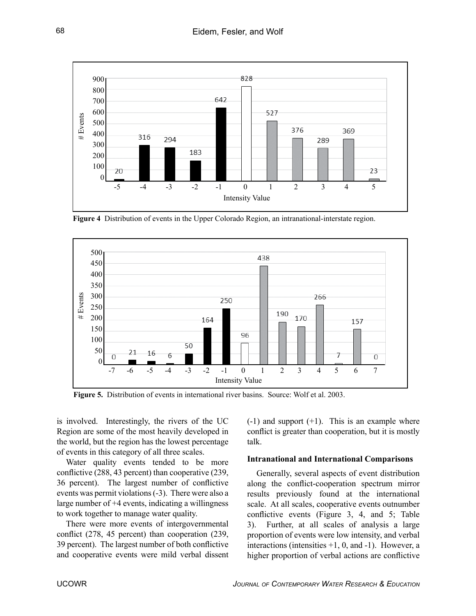

**Figure 4** Distribution of events in the Upper Colorado Region, an intranational-interstate region.



**Figure 5.** Distribution of events in international river basins. Source: Wolf et al. 2003.

is involved. Interestingly, the rivers of the UC Region are some of the most heavily developed in the world, but the region has the lowest percentage of events in this category of all three scales.

Water quality events tended to be more conflictive (288, 43 percent) than cooperative (239, 36 percent). The largest number of conflictive events was permit violations (-3). There were also a large number of +4 events, indicating a willingness to work together to manage water quality.

There were more events of intergovernmental conflict (278, 45 percent) than cooperation (239, 39 percent). The largest number of both conflictive and cooperative events were mild verbal dissent  $(-1)$  and support  $(+1)$ . This is an example where conflict is greater than cooperation, but it is mostly talk.

#### **Intranational and International Comparisons**

Generally, several aspects of event distribution along the conflict-cooperation spectrum mirror results previously found at the international scale. At all scales, cooperative events outnumber conflictive events (Figure 3, 4, and 5; Table 3). Further, at all scales of analysis a large proportion of events were low intensity, and verbal interactions (intensities  $+1$ , 0, and  $-1$ ). However, a higher proportion of verbal actions are conflictive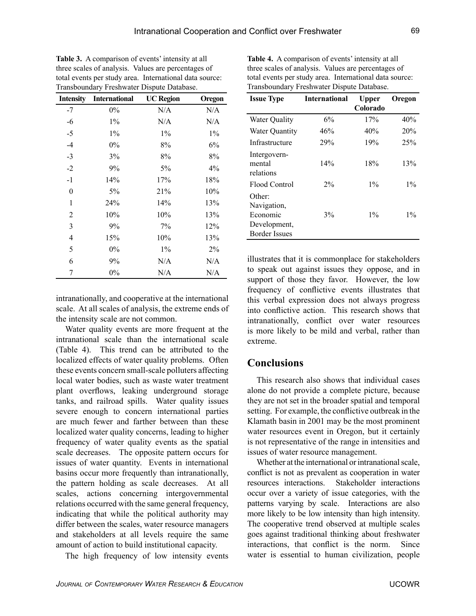| Transboundary Freshwater Dispute Database. |                      |                  |        |  |  |
|--------------------------------------------|----------------------|------------------|--------|--|--|
| <b>Intensity</b>                           | <b>International</b> | <b>UC Region</b> | Oregon |  |  |
| -7                                         | $0\%$                | N/A              | N/A    |  |  |
| $-6$                                       | $1\%$                | N/A              | N/A    |  |  |
| $-5$                                       | $1\%$                | $1\%$            | $1\%$  |  |  |
| $-4$                                       | $0\%$                | 8%               | 6%     |  |  |
| $-3$                                       | 3%                   | 8%               | $8\%$  |  |  |
| $-2$                                       | $9\%$                | 5%               | 4%     |  |  |
| $-1$                                       | 14%                  | 17%              | 18%    |  |  |
| $\boldsymbol{0}$                           | 5%                   | 21%              | 10%    |  |  |
| 1                                          | 24%                  | 14%              | 13%    |  |  |
| $\overline{2}$                             | 10%                  | 10%              | 13%    |  |  |
| $\mathfrak{Z}$                             | 9%                   | 7%               | 12%    |  |  |
| $\overline{4}$                             | 15%                  | 10%              | 13%    |  |  |
| 5                                          | $0\%$                | $1\%$            | 2%     |  |  |
| 6                                          | 9%                   | N/A              | N/A    |  |  |
| 7                                          | $0\%$                | N/A              | N/A    |  |  |

**Table 3.** A comparison of events' intensity at all three scales of analysis. Values are percentages of total events per study area. International data source:

intranationally, and cooperative at the international scale. At all scales of analysis, the extreme ends of the intensity scale are not common.

Water quality events are more frequent at the intranational scale than the international scale (Table 4). This trend can be attributed to the localized effects of water quality problems. Often these events concern small-scale polluters affecting local water bodies, such as waste water treatment plant overflows, leaking underground storage tanks, and railroad spills. Water quality issues severe enough to concern international parties are much fewer and farther between than these localized water quality concerns, leading to higher frequency of water quality events as the spatial scale decreases. The opposite pattern occurs for issues of water quantity. Events in international basins occur more frequently than intranationally, the pattern holding as scale decreases. At all scales, actions concerning intergovernmental relations occurred with the same general frequency, indicating that while the political authority may differ between the scales, water resource managers and stakeholders at all levels require the same amount of action to build institutional capacity.

The high frequency of low intensity events

**Table 4.** A comparison of events' intensity at all three scales of analysis. Values are percentages of total events per study area. International data source: Transboundary Freshwater Dispute Database.

| <b>Issue Type</b>                                                         | <b>International</b> | <b>Upper</b><br>Colorado | Oregon |
|---------------------------------------------------------------------------|----------------------|--------------------------|--------|
| Water Quality                                                             | 6%                   | 17%                      | 40%    |
| <b>Water Quantity</b>                                                     | 46%                  | 40%                      | 20%    |
| Infrastructure                                                            | 29%                  | 19%                      | 25%    |
| Intergovern-<br>mental<br>relations                                       | 14%                  | 18%                      | 13%    |
| Flood Control                                                             | $2\%$                | $1\%$                    | $1\%$  |
| Other:<br>Navigation,<br>Economic<br>Development,<br><b>Border Issues</b> | 3%                   | $1\%$                    | $1\%$  |
|                                                                           |                      |                          |        |

illustrates that it is commonplace for stakeholders to speak out against issues they oppose, and in support of those they favor. However, the low frequency of conflictive events illustrates that this verbal expression does not always progress into conflictive action. This research shows that intranationally, conflict over water resources is more likely to be mild and verbal, rather than extreme.

## **Conclusions**

This research also shows that individual cases alone do not provide a complete picture, because they are not set in the broader spatial and temporal setting. For example, the conflictive outbreak in the Klamath basin in 2001 may be the most prominent water resources event in Oregon, but it certainly is not representative of the range in intensities and issues of water resource management.

Whether at the international or intranational scale, conflict is not as prevalent as cooperation in water resources interactions. Stakeholder interactions occur over a variety of issue categories, with the patterns varying by scale. Interactions are also more likely to be low intensity than high intensity. The cooperative trend observed at multiple scales goes against traditional thinking about freshwater interactions, that conflict is the norm. Since water is essential to human civilization, people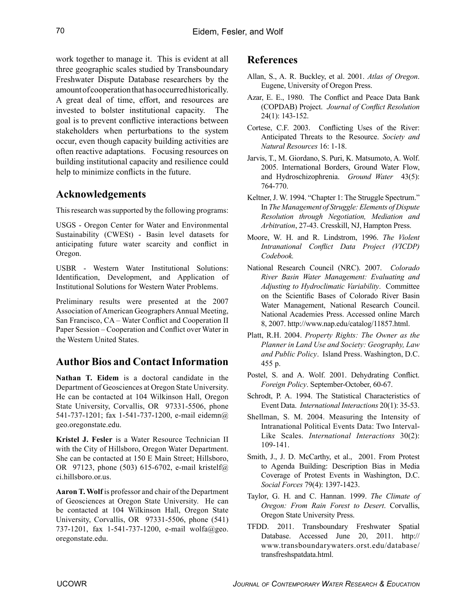work together to manage it. This is evident at all three geographic scales studied by Transboundary Freshwater Dispute Database researchers by the amount of cooperation that has occurred historically. A great deal of time, effort, and resources are invested to bolster institutional capacity. The goal is to prevent conflictive interactions between stakeholders when perturbations to the system occur, even though capacity building activities are often reactive adaptations. Focusing resources on building institutional capacity and resilience could help to minimize conflicts in the future.

# **Acknowledgements**

This research was supported by the following programs:

USGS - Oregon Center for Water and Environmental Sustainability (CWESt) - Basin level datasets for anticipating future water scarcity and conflict in Oregon.

USBR - Western Water Institutional Solutions: Identification, Development, and Application of Institutional Solutions for Western Water Problems.

Preliminary results were presented at the 2007 Association of American Geographers Annual Meeting, San Francisco, CA – Water Conflict and Cooperation II Paper Session – Cooperation and Conflict over Water in the Western United States.

# **Author Bios and Contact Information**

**Nathan T. Eidem** is a doctoral candidate in the Department of Geosciences at Oregon State University. He can be contacted at 104 Wilkinson Hall, Oregon State University, Corvallis, OR 97331-5506, phone 541-737-1201; fax 1-541-737-1200, e-mail eidemn@ geo.oregonstate.edu.

**Kristel J. Fesler** is a Water Resource Technician II with the City of Hillsboro, Oregon Water Department. She can be contacted at 150 E Main Street; Hillsboro, OR 97123, phone (503) 615-6702, e-mail kristelf@ ci.hillsboro.or.us.

**Aaron T. Wolf** is professor and chair of the Department of Geosciences at Oregon State University. He can be contacted at 104 Wilkinson Hall, Oregon State University, Corvallis, OR 97331-5506, phone (541) 737-1201, fax 1-541-737-1200, e-mail wolfa@geo. oregonstate.edu.

## **References**

- Allan, S., A. R. Buckley, et al. 2001. *Atlas of Oregon*. Eugene, University of Oregon Press.
- Azar, E. E., 1980. The Conflict and Peace Data Bank (COPDAB) Project. *Journal of Conflict Resolution* 24(1): 143-152.
- Cortese, C.F. 2003. Conflicting Uses of the River: Anticipated Threats to the Resource. *Society and Natural Resources* 16: 1-18.
- Jarvis, T., M. Giordano, S. Puri, K. Matsumoto, A. Wolf. 2005. International Borders, Ground Water Flow, and Hydroschizophrenia. *Ground Water* 43(5): 764-770.
- Keltner, J. W. 1994. "Chapter 1: The Struggle Spectrum." In *The Management of Struggle: Elements of Dispute Resolution through Negotiation, Mediation and Arbitration*, 27-43. Cresskill, NJ, Hampton Press.
- Moore, W. H. and R. Lindstrom, 1996. *The Violent Intranational Conflict Data Project (VICDP) Codebook.*
- National Research Council (NRC). 2007. *Colorado River Basin Water Management: Evaluating and Adjusting to Hydroclimatic Variability*. Committee on the Scientific Bases of Colorado River Basin Water Management, National Research Council. National Academies Press. Accessed online March 8, 2007. http://www.nap.edu/catalog/11857.html.
- Platt, R.H. 2004. *Property Rights: The Owner as the Planner in Land Use and Society: Geography, Law and Public Policy*. Island Press. Washington, D.C. 455 p.
- Postel, S. and A. Wolf. 2001. Dehydrating Conflict. *Foreign Policy*. September-October, 60-67.
- Schrodt, P. A. 1994. The Statistical Characteristics of Event Data. *International Interactions* 20(1): 35-53.
- Shellman, S. M. 2004. Measuring the Intensity of Intranational Political Events Data: Two Interval-Like Scales. *International Interactions* 30(2): 109-141.
- Smith, J., J. D. McCarthy, et al., 2001. From Protest to Agenda Building: Description Bias in Media Coverage of Protest Events in Washington, D.C. *Social Forces* 79(4): 1397-1423.
- Taylor, G. H. and C. Hannan. 1999. *The Climate of Oregon: From Rain Forest to Desert*. Corvallis, Oregon State University Press.
- TFDD. 2011. Transboundary Freshwater Spatial Database. Accessed June 20, 2011. http:// www.transboundarywaters.orst.edu/database/ transfreshspatdata.html.